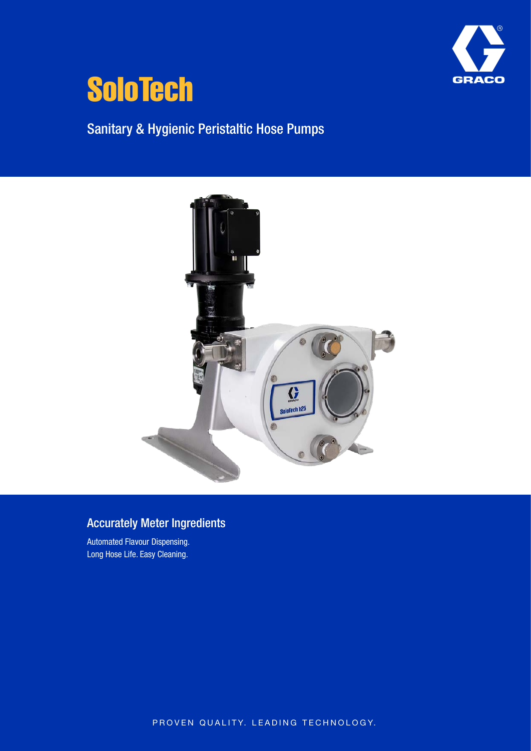



Sanitary & Hygienic Peristaltic Hose Pumps



## Accurately Meter Ingredients

Automated Flavour Dispensing. Long Hose Life. Easy Cleaning.